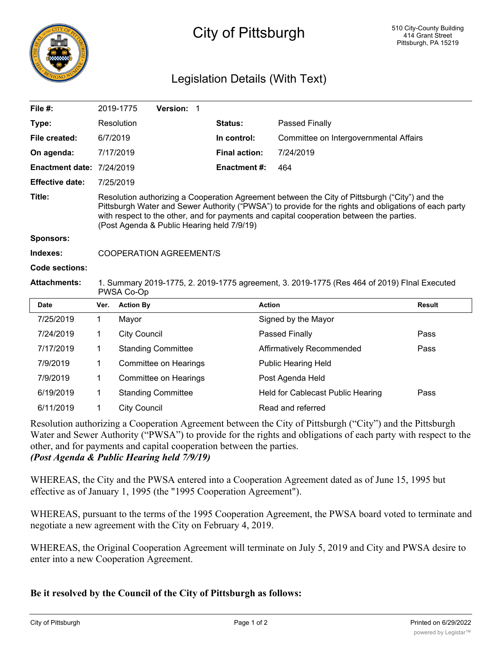

## City of Pittsburgh

## Legislation Details (With Text)

| File $#$ :                       |                                                                                                                                                                                                                                                                                                                                                   | Version: 1<br>2019-1775   |                      |                                        |               |
|----------------------------------|---------------------------------------------------------------------------------------------------------------------------------------------------------------------------------------------------------------------------------------------------------------------------------------------------------------------------------------------------|---------------------------|----------------------|----------------------------------------|---------------|
| Type:                            |                                                                                                                                                                                                                                                                                                                                                   | Resolution                | <b>Status:</b>       | Passed Finally                         |               |
| File created:                    | 6/7/2019                                                                                                                                                                                                                                                                                                                                          |                           | In control:          | Committee on Intergovernmental Affairs |               |
| On agenda:                       |                                                                                                                                                                                                                                                                                                                                                   | 7/17/2019                 | <b>Final action:</b> | 7/24/2019                              |               |
| <b>Enactment date: 7/24/2019</b> |                                                                                                                                                                                                                                                                                                                                                   |                           | <b>Enactment #:</b>  | 464                                    |               |
| <b>Effective date:</b>           | 7/25/2019                                                                                                                                                                                                                                                                                                                                         |                           |                      |                                        |               |
| Title:                           | Resolution authorizing a Cooperation Agreement between the City of Pittsburgh ("City") and the<br>Pittsburgh Water and Sewer Authority ("PWSA") to provide for the rights and obligations of each party<br>with respect to the other, and for payments and capital cooperation between the parties.<br>(Post Agenda & Public Hearing held 7/9/19) |                           |                      |                                        |               |
| <b>Sponsors:</b>                 |                                                                                                                                                                                                                                                                                                                                                   |                           |                      |                                        |               |
| Indexes:                         | <b>COOPERATION AGREEMENT/S</b>                                                                                                                                                                                                                                                                                                                    |                           |                      |                                        |               |
| Code sections:                   |                                                                                                                                                                                                                                                                                                                                                   |                           |                      |                                        |               |
| <b>Attachments:</b>              | 1. Summary 2019-1775, 2. 2019-1775 agreement, 3. 2019-1775 (Res 464 of 2019) Flnal Executed<br>PWSA Co-Op                                                                                                                                                                                                                                         |                           |                      |                                        |               |
| <b>Date</b>                      | Ver.                                                                                                                                                                                                                                                                                                                                              | <b>Action By</b>          |                      | <b>Action</b>                          | <b>Result</b> |
| 7/25/2019                        | $\mathbf 1$                                                                                                                                                                                                                                                                                                                                       | Mayor                     |                      | Signed by the Mayor                    |               |
| 7/24/2019                        | 1                                                                                                                                                                                                                                                                                                                                                 | <b>City Council</b>       |                      | Passed Finally                         | Pass          |
| 7/17/2019                        | 1                                                                                                                                                                                                                                                                                                                                                 | <b>Standing Committee</b> |                      | Affirmatively Recommended              | Pass          |
| 7/9/2019                         | 1                                                                                                                                                                                                                                                                                                                                                 | Committee on Hearings     |                      | <b>Public Hearing Held</b>             |               |
| 7/9/2019                         | 1                                                                                                                                                                                                                                                                                                                                                 | Committee on Hearings     |                      | Post Agenda Held                       |               |
| 6/19/2019                        | 1                                                                                                                                                                                                                                                                                                                                                 | <b>Standing Committee</b> |                      | Held for Cablecast Public Hearing      | Pass          |
| 6/11/2019                        | 1                                                                                                                                                                                                                                                                                                                                                 | <b>City Council</b>       |                      | Read and referred                      |               |

Resolution authorizing a Cooperation Agreement between the City of Pittsburgh ("City") and the Pittsburgh Water and Sewer Authority ("PWSA") to provide for the rights and obligations of each party with respect to the other, and for payments and capital cooperation between the parties. *(Post Agenda & Public Hearing held 7/9/19)*

WHEREAS, the City and the PWSA entered into a Cooperation Agreement dated as of June 15, 1995 but effective as of January 1, 1995 (the "1995 Cooperation Agreement").

WHEREAS, pursuant to the terms of the 1995 Cooperation Agreement, the PWSA board voted to terminate and negotiate a new agreement with the City on February 4, 2019.

WHEREAS, the Original Cooperation Agreement will terminate on July 5, 2019 and City and PWSA desire to enter into a new Cooperation Agreement.

## **Be it resolved by the Council of the City of Pittsburgh as follows:**